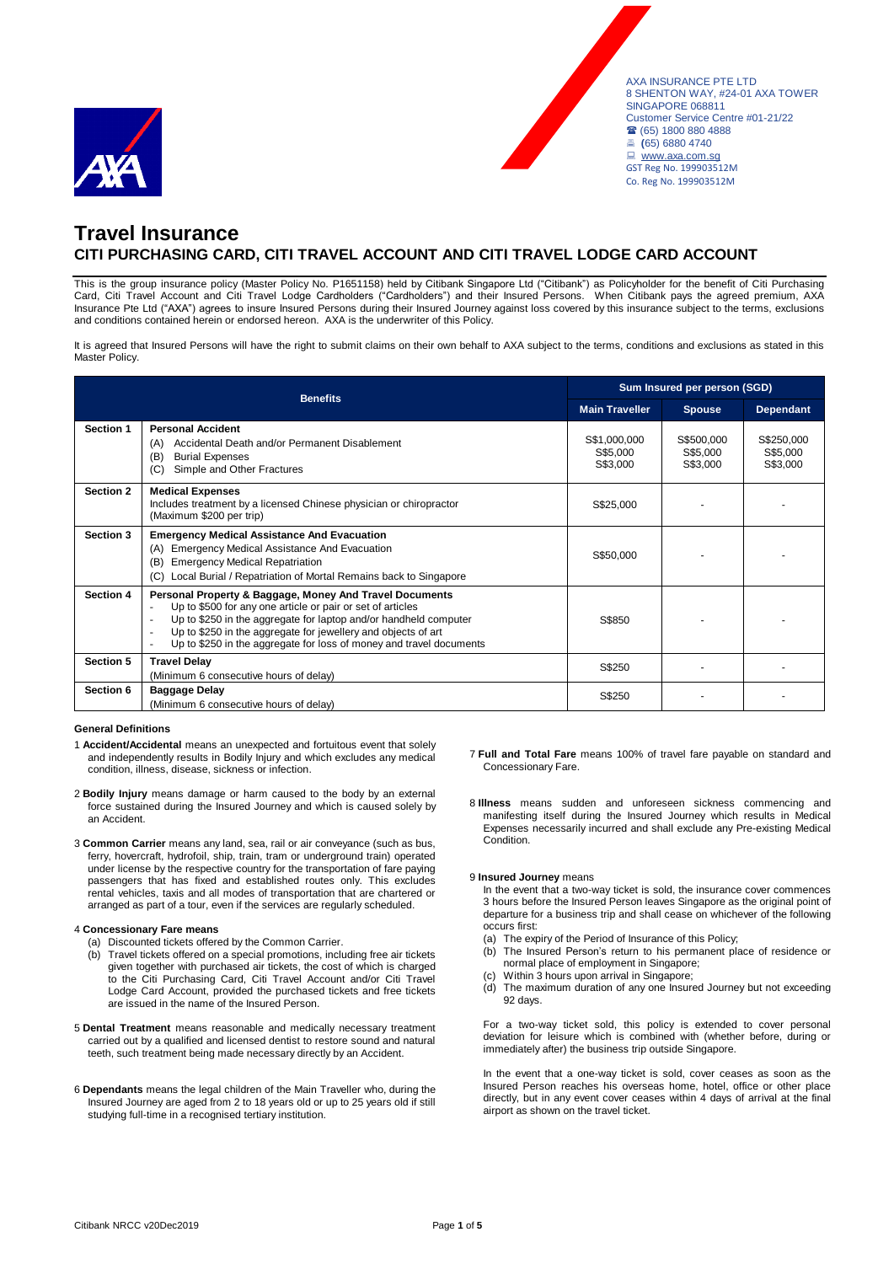AXA INSURANCE PTE LTD 8 SHENTON WAY, #24-01 AXA TOWER SINGAPORE 068811 Customer Service Centre #01-21/22 (65) 1800 880 4888 **(**65) 6880 4740 [www.axa.com.sg](http://www.axa.com.sg/) GST Reg No. 199903512M Co. Reg No. 199903512M



# **Travel Insurance CITI PURCHASING CARD, CITI TRAVEL ACCOUNT AND CITI TRAVEL LODGE CARD ACCOUNT**

This is the group insurance policy (Master Policy No. P1651158) held by Citibank Singapore Ltd ("Citibank") as Policyholder for the benefit of Citi Purchasing Card, Citi Travel Account and Citi Travel Lodge Cardholders ("Cardholders") and their Insured Persons.When Citibank pays the agreed premium, AXA Insurance Pte Ltd ("AXA") agrees to insure Insured Persons during their Insured Journey against loss covered by this insurance subject to the terms, exclusions and conditions contained herein or endorsed hereon. AXA is the underwriter of this Policy.

It is agreed that Insured Persons will have the right to submit claims on their own behalf to AXA subject to the terms, conditions and exclusions as stated in this Master Policy.

| <b>Benefits</b>  |                                                                                                                                                                                                                                                                                                                                                                         | Sum Insured per person (SGD)         |                                    |                                    |
|------------------|-------------------------------------------------------------------------------------------------------------------------------------------------------------------------------------------------------------------------------------------------------------------------------------------------------------------------------------------------------------------------|--------------------------------------|------------------------------------|------------------------------------|
|                  |                                                                                                                                                                                                                                                                                                                                                                         | <b>Main Traveller</b>                | <b>Spouse</b>                      | <b>Dependant</b>                   |
| Section 1        | <b>Personal Accident</b><br>Accidental Death and/or Permanent Disablement<br>(A)<br>(B)<br><b>Burial Expenses</b><br>(C)<br>Simple and Other Fractures                                                                                                                                                                                                                  | S\$1,000,000<br>S\$5,000<br>S\$3,000 | S\$500,000<br>S\$5,000<br>S\$3,000 | S\$250,000<br>S\$5,000<br>S\$3,000 |
| <b>Section 2</b> | <b>Medical Expenses</b><br>Includes treatment by a licensed Chinese physician or chiropractor<br>(Maximum \$200 per trip)                                                                                                                                                                                                                                               | S\$25,000                            |                                    |                                    |
| <b>Section 3</b> | <b>Emergency Medical Assistance And Evacuation</b><br><b>Emergency Medical Assistance And Evacuation</b><br>(A)<br><b>Emergency Medical Repatriation</b><br>(B)<br>Local Burial / Repatriation of Mortal Remains back to Singapore<br>(C)                                                                                                                               | S\$50,000                            |                                    |                                    |
| <b>Section 4</b> | Personal Property & Baggage, Money And Travel Documents<br>Up to \$500 for any one article or pair or set of articles<br>$\overline{a}$<br>Up to \$250 in the aggregate for laptop and/or handheld computer<br>$\sim$<br>Up to \$250 in the aggregate for jewellery and objects of art<br>$\sim$<br>Up to \$250 in the aggregate for loss of money and travel documents | S\$850                               |                                    |                                    |
| Section 5        | <b>Travel Delay</b><br>(Minimum 6 consecutive hours of delay)                                                                                                                                                                                                                                                                                                           | S\$250                               |                                    |                                    |
| Section 6        | <b>Baggage Delay</b><br>(Minimum 6 consecutive hours of delay)                                                                                                                                                                                                                                                                                                          | S\$250                               |                                    |                                    |

# **General Definitions**

- 1 **Accident/Accidental** means an unexpected and fortuitous event that solely and independently results in Bodily Injury and which excludes any medical condition, illness, disease, sickness or infection.
- 2 **Bodily Injury** means damage or harm caused to the body by an external force sustained during the Insured Journey and which is caused solely by an Accident.
- 3 **Common Carrier** means any land, sea, rail or air conveyance (such as bus, ferry, hovercraft, hydrofoil, ship, train, tram or underground train) operated under license by the respective country for the transportation of fare paying passengers that has fixed and established routes only. This excludes rental vehicles, taxis and all modes of transportation that are chartered or arranged as part of a tour, even if the services are regularly scheduled.

#### 4 **Concessionary Fare means**

- (a) Discounted tickets offered by the Common Carrier.
- (b) Travel tickets offered on a special promotions, including free air tickets given together with purchased air tickets, the cost of which is charged to the Citi Purchasing Card, Citi Travel Account and/or Citi Travel Lodge Card Account, provided the purchased tickets and free tickets are issued in the name of the Insured Person.
- 5 **Dental Treatment** means reasonable and medically necessary treatment carried out by a qualified and licensed dentist to restore sound and natural teeth, such treatment being made necessary directly by an Accident.
- 6 **Dependants** means the legal children of the Main Traveller who, during the Insured Journey are aged from 2 to 18 years old or up to 25 years old if still studying full-time in a recognised tertiary institution.
- 7 **Full and Total Fare** means 100% of travel fare payable on standard and Concessionary Fare.
- 8 **Illness** means sudden and unforeseen sickness commencing and manifesting itself during the Insured Journey which results in Medical Expenses necessarily incurred and shall exclude any Pre-existing Medical Condition.

#### 9 **Insured Journey** means

In the event that a two-way ticket is sold, the insurance cover commences 3 hours before the Insured Person leaves Singapore as the original point of departure for a business trip and shall cease on whichever of the following occurs first:

- (a) The expiry of the Period of Insurance of this Policy;
- (b) The Insured Person's return to his permanent place of residence or normal place of employment in Singapore;
- (c) Within 3 hours upon arrival in Singapore;
- (d) The maximum duration of any one Insured Journey but not exceeding 92 days.

For a two-way ticket sold, this policy is extended to cover personal deviation for leisure which is combined with (whether before, during or immediately after) the business trip outside Singapore.

In the event that a one-way ticket is sold, cover ceases as soon as the Insured Person reaches his overseas home, hotel, office or other place directly, but in any event cover ceases within 4 days of arrival at the final airport as shown on the travel ticket.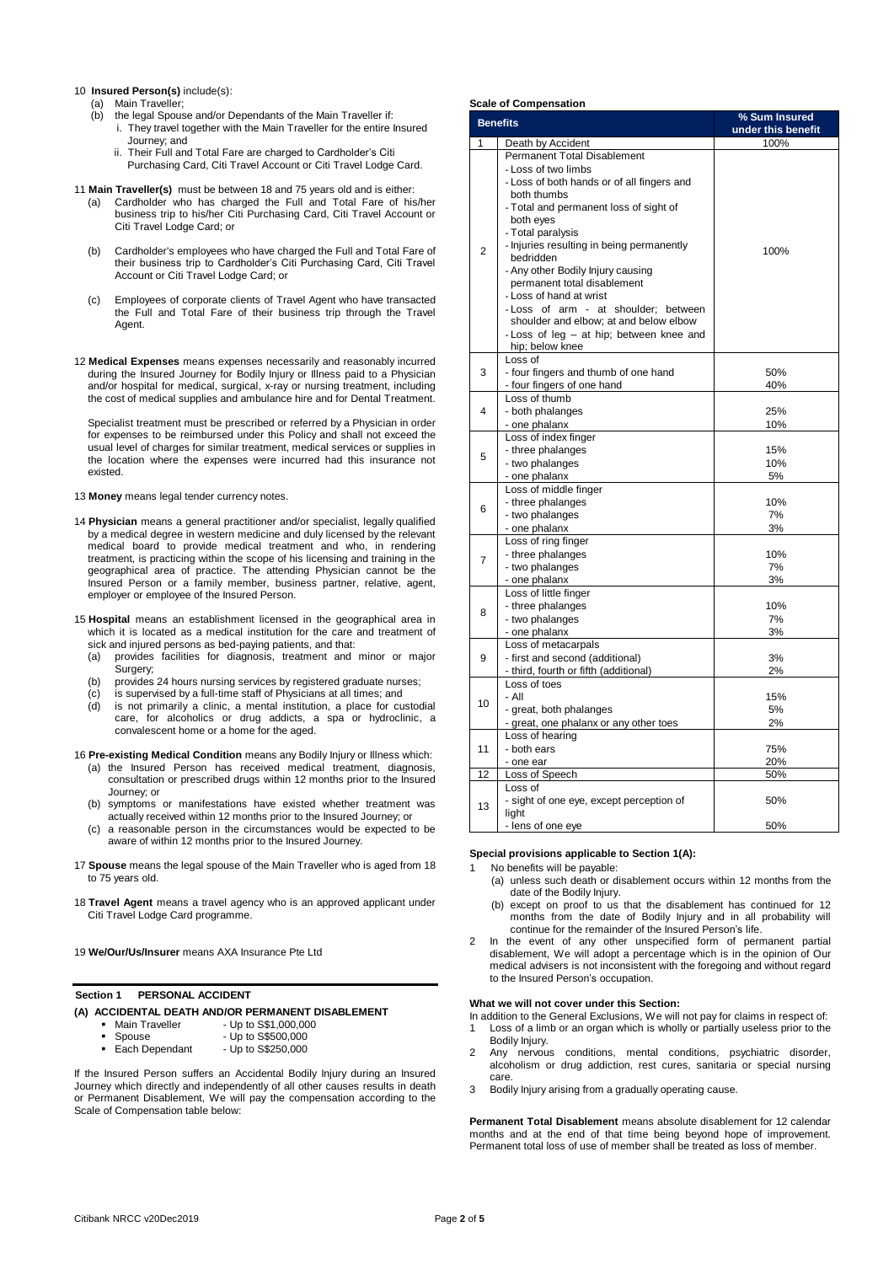# 10 **Insured Person(s)** include(s):

- (a) Main Traveller;
- (b) the legal Spouse and/or Dependants of the Main Traveller if: i. They travel together with the Main Traveller for the entire Insured Journey; and
	- ii. Their Full and Total Fare are charged to Cardholder's Citi Purchasing Card, Citi Travel Account or Citi Travel Lodge Card.

11 **Main Traveller(s)** must be between 18 and 75 years old and is either:

- (a) Cardholder who has charged the Full and Total Fare of his/her business trip to his/her Citi Purchasing Card, Citi Travel Account or Citi Travel Lodge Card; or
- (b) Cardholder's employees who have charged the Full and Total Fare of their business trip to Cardholder's Citi Purchasing Card, Citi Travel Account or Citi Travel Lodge Card; or
- (c) Employees of corporate clients of Travel Agent who have transacted the Full and Total Fare of their business trip through the Travel Agent
- 12 **Medical Expenses** means expenses necessarily and reasonably incurred during the Insured Journey for Bodily Injury or Illness paid to a Physician and/or hospital for medical, surgical, x-ray or nursing treatment, including the cost of medical supplies and ambulance hire and for Dental Treatment.

Specialist treatment must be prescribed or referred by a Physician in order for expenses to be reimbursed under this Policy and shall not exceed the usual level of charges for similar treatment, medical services or supplies in the location where the expenses were incurred had this insurance not existed.

13 **Money** means legal tender currency notes.

- 14 **Physician** means a general practitioner and/or specialist, legally qualified by a medical degree in western medicine and duly licensed by the relevant medical board to provide medical treatment and who, in rendering treatment, is practicing within the scope of his licensing and training in the geographical area of practice. The attending Physician cannot be the Insured Person or a family member, business partner, relative, agent, employer or employee of the Insured Person.
- 15 **Hospital** means an establishment licensed in the geographical area in which it is located as a medical institution for the care and treatment of sick and injured persons as bed-paying patients, and that:
	- (a) provides facilities for diagnosis, treatment and minor or major Surgery;
	- (b) provides 24 hours nursing services by registered graduate nurses;
	- (c) is supervised by a full-time staff of Physicians at all times; and
	- (d) is not primarily a clinic, a mental institution, a place for custodial care, for alcoholics or drug addicts, a spa or hydroclinic, a convalescent home or a home for the aged.
- 16 **Pre-existing Medical Condition** means any Bodily Injury or Illness which:
	- (a) the Insured Person has received medical treatment, diagnosis, consultation or prescribed drugs within 12 months prior to the Insured Journey; or
	- (b) symptoms or manifestations have existed whether treatment was actually received within 12 months prior to the Insured Journey; or
	- (c) a reasonable person in the circumstances would be expected to be aware of within 12 months prior to the Insured Journey.
- 17 **Spouse** means the legal spouse of the Main Traveller who is aged from 18 to 75 years old.
- 18 **Travel Agent** means a travel agency who is an approved applicant under Citi Travel Lodge Card programme.

19 **We/Our/Us/Insurer** means AXA Insurance Pte Ltd

# **Section 1 PERSONAL ACCIDENT**

# **(A) ACCIDENTAL DEATH AND/OR PERMANENT DISABLEMENT**

- Main Traveller Up to S\$1,000,000<br>Spouse Up to S\$500,000
- Spouse Up to S\$500,000<br>■ Each Dependant Up to S\$250.000
	- Each Dependant Up to S\$250,000

If the Insured Person suffers an Accidental Bodily Injury during an Insured Journey which directly and independently of all other causes results in death or Permanent Disablement, We will pay the compensation according to the Scale of Compensation table below:

#### **Scale of Compensation**

| <b>Benefits</b>         |                                                     | % Sum Insured      |
|-------------------------|-----------------------------------------------------|--------------------|
|                         |                                                     | under this benefit |
| 1                       | Death by Accident<br>Permanent Total Disablement    | 100%               |
|                         |                                                     |                    |
|                         | - Loss of two limbs                                 |                    |
|                         | - Loss of both hands or of all fingers and          |                    |
|                         | both thumbs                                         |                    |
|                         | - Total and permanent loss of sight of<br>both eyes |                    |
| $\overline{2}$          | - Total paralysis                                   |                    |
|                         | - Injuries resulting in being permanently           |                    |
|                         | bedridden                                           | 100%               |
|                         | - Any other Bodily Injury causing                   |                    |
|                         | permanent total disablement                         |                    |
|                         | - Loss of hand at wrist                             |                    |
|                         | - Loss of arm - at shoulder; between                |                    |
|                         | shoulder and elbow; at and below elbow              |                    |
|                         | - Loss of leg - at hip; between knee and            |                    |
|                         | hip; below knee                                     |                    |
|                         | Loss of                                             |                    |
| 3                       | - four fingers and thumb of one hand                | 50%                |
|                         | - four fingers of one hand                          | 40%                |
|                         | Loss of thumb                                       |                    |
| $\overline{\mathbf{4}}$ | - both phalanges                                    | 25%                |
|                         | - one phalanx                                       | 10%                |
|                         | Loss of index finger                                |                    |
| 5                       | - three phalanges                                   | 15%                |
|                         | - two phalanges                                     | 10%                |
|                         | - one phalanx                                       | 5%                 |
|                         | Loss of middle finger                               |                    |
| 6                       | - three phalanges<br>- two phalanges                | 10%<br>7%          |
|                         |                                                     | 3%                 |
|                         | - one phalanx<br>Loss of ring finger                |                    |
|                         | - three phalanges                                   | 10%                |
| 7                       | - two phalanges                                     | 7%                 |
|                         | - one phalanx                                       | 3%                 |
|                         | Loss of little finger                               |                    |
|                         | - three phalanges                                   | 10%                |
| 8                       | - two phalanges                                     | 7%                 |
|                         | - one phalanx                                       | 3%                 |
|                         | Loss of metacarpals                                 |                    |
| 9                       | - first and second (additional)                     | 3%                 |
|                         | - third, fourth or fifth (additional)               | 2%                 |
|                         | Loss of toes                                        |                    |
| 10                      | - All                                               | 15%                |
|                         | - great, both phalanges                             | 5%                 |
|                         | - great, one phalanx or any other toes              | 2%                 |
| 11                      | Loss of hearing                                     |                    |
|                         | - both ears                                         | 75%                |
|                         | - one ear                                           | 20%                |
| 12                      | Loss of Speech                                      | 50%                |
| 13                      | Loss of                                             |                    |
|                         | - sight of one eye, except perception of            | 50%                |
|                         | light                                               |                    |
|                         | - lens of one eye                                   | 50%                |

**Special provisions applicable to Section 1(A):**

- No benefits will be payable:
	- (a) unless such death or disablement occurs within 12 months from the date of the Bodily Injury.
	- (b) except on proof to us that the disablement has continued for 12 months from the date of Bodily Injury and in all probability will continue for the remainder of the Insured Person's life.
- In the event of any other unspecified form of permanent partial disablement, We will adopt a percentage which is in the opinion of Our medical advisers is not inconsistent with the foregoing and without regard to the Insured Person's occupation.

#### **What we will not cover under this Section:**

- In addition to the General Exclusions, We will not pay for claims in respect of: 1 Loss of a limb or an organ which is wholly or partially useless prior to the Bodily Injury.
- 2 Any nervous conditions, mental conditions, psychiatric disorder, alcoholism or drug addiction, rest cures, sanitaria or special nursing care.
- 3 Bodily Injury arising from a gradually operating cause.

**Permanent Total Disablement** means absolute disablement for 12 calendar months and at the end of that time being beyond hope of improvement. Permanent total loss of use of member shall be treated as loss of member.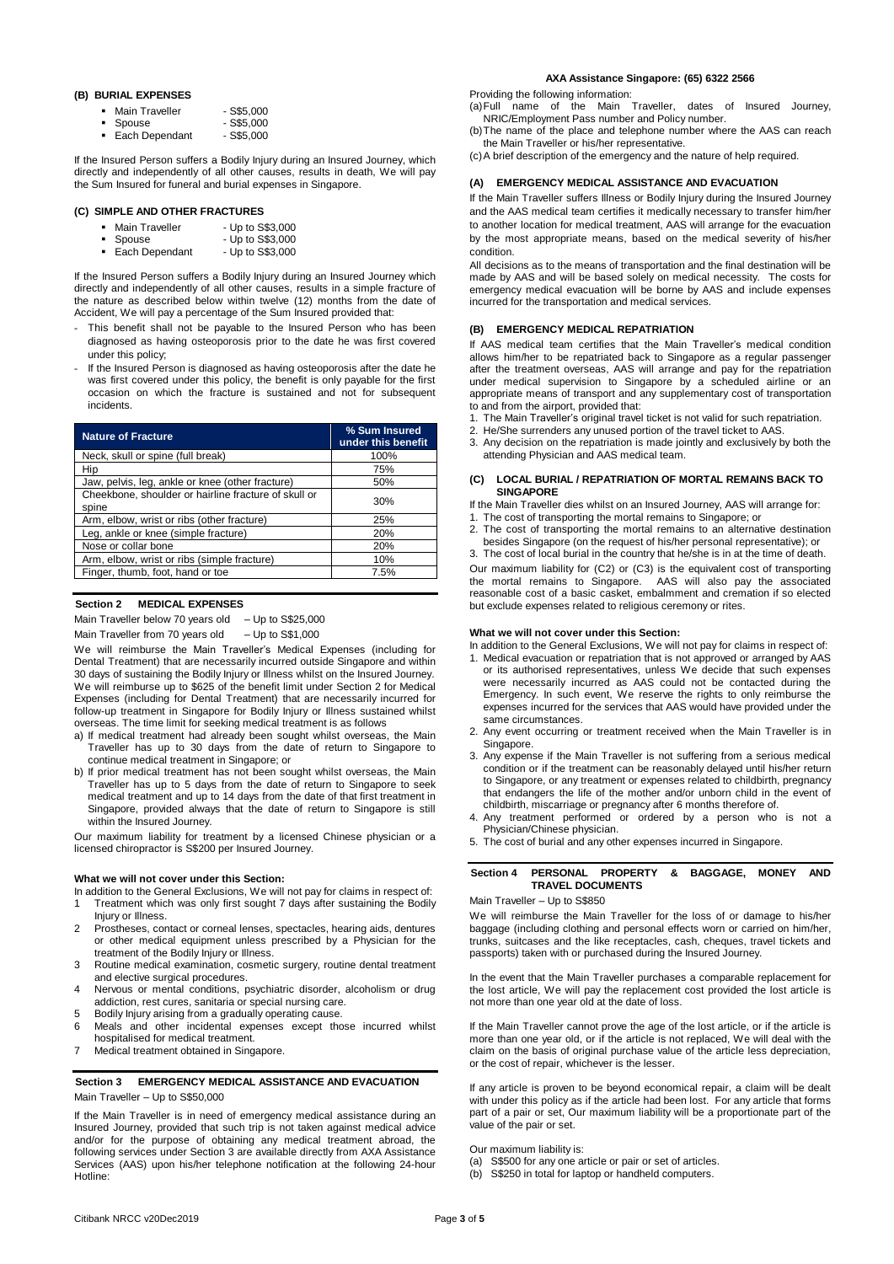#### **(B) BURIAL EXPENSES**

| Main Traveller | $-$ S\$5,000         |
|----------------|----------------------|
| • Spouse       | $-$ S\$5,000         |
|                | $\sim$ $\sim$ $\sim$ |

• Each Dependant - S\$5,000

If the Insured Person suffers a Bodily Injury during an Insured Journey, which directly and independently of all other causes, results in death, We will pay the Sum Insured for funeral and burial expenses in Singapore.

#### **(C) SIMPLE AND OTHER FRACTURES**

- 
- Main Traveller Up to S\$3,000<br>Spouse Up to S\$3,000 - Up to S\$3,000<br>- Up to S\$3,000
- Each Dependant

If the Insured Person suffers a Bodily Injury during an Insured Journey which directly and independently of all other causes, results in a simple fracture of the nature as described below within twelve (12) months from the date of Accident, We will pay a percentage of the Sum Insured provided that:

- This benefit shall not be payable to the Insured Person who has been diagnosed as having osteoporosis prior to the date he was first covered under this policy;
- If the Insured Person is diagnosed as having osteoporosis after the date he was first covered under this policy, the benefit is only payable for the first occasion on which the fracture is sustained and not for subsequent incidents.

| <b>Nature of Fracture</b>                                     | % Sum Insured<br>under this benefit |
|---------------------------------------------------------------|-------------------------------------|
| Neck, skull or spine (full break)                             | 100%                                |
| Hip                                                           | 75%                                 |
| Jaw, pelvis, leg, ankle or knee (other fracture)              | 50%                                 |
| Cheekbone, shoulder or hairline fracture of skull or<br>spine | 30%                                 |
| Arm, elbow, wrist or ribs (other fracture)                    | 25%                                 |
| Leg, ankle or knee (simple fracture)                          | 20%                                 |
| Nose or collar bone                                           | 20%                                 |
| Arm, elbow, wrist or ribs (simple fracture)                   | 10%                                 |
| Finger, thumb, foot, hand or toe                              | 7.5%                                |

# **Section 2 MEDICAL EXPENSES**

Main Traveller below 70 years old – Up to S\$25,000

Main Traveller from 70 years old - Up to S\$1,000

We will reimburse the Main Traveller's Medical Expenses (including for Dental Treatment) that are necessarily incurred outside Singapore and within 30 days of sustaining the Bodily Injury or Illness whilst on the Insured Journey. We will reimburse up to \$625 of the benefit limit under Section 2 for Medical Expenses (including for Dental Treatment) that are necessarily incurred for follow-up treatment in Singapore for Bodily Injury or Illness sustained whilst overseas. The time limit for seeking medical treatment is as follows

- a) If medical treatment had already been sought whilst overseas, the Main Traveller has up to 30 days from the date of return to Singapore to continue medical treatment in Singapore; or
- b) If prior medical treatment has not been sought whilst overseas, the Main Traveller has up to 5 days from the date of return to Singapore to seek medical treatment and up to 14 days from the date of that first treatment in Singapore, provided always that the date of return to Singapore is still within the Insured Journey.

Our maximum liability for treatment by a licensed Chinese physician or a licensed chiropractor is S\$200 per Insured Journey.

#### **What we will not cover under this Section:**

- In addition to the General Exclusions, We will not pay for claims in respect of: 1 Treatment which was only first sought 7 days after sustaining the Bodily Injury or Illness.
- 2 Prostheses, contact or corneal lenses, spectacles, hearing aids, dentures or other medical equipment unless prescribed by a Physician for the treatment of the Bodily Injury or Illness.
- 3 Routine medical examination, cosmetic surgery, routine dental treatment and elective surgical procedures.
- 4 Nervous or mental conditions, psychiatric disorder, alcoholism or drug addiction, rest cures, sanitaria or special nursing care.
- 5 Bodily Injury arising from a gradually operating cause.
- 6 Meals and other incidental expenses except those incurred whilst hospitalised for medical treatment.
- 7 Medical treatment obtained in Singapore.

# **Section 3 EMERGENCY MEDICAL ASSISTANCE AND EVACUATION** Main Traveller – Up to S\$50,000

If the Main Traveller is in need of emergency medical assistance during an Insured Journey, provided that such trip is not taken against medical advice and/or for the purpose of obtaining any medical treatment abroad, the following services under Section 3 are available directly from AXA Assistance Services (AAS) upon his/her telephone notification at the following 24-hour Hotline:

#### **AXA Assistance Singapore: (65) 6322 2566**

Providing the following information:

(a)Full name of the Main Traveller, dates of Insured Journey, NRIC/Employment Pass number and Policy number.

(b)The name of the place and telephone number where the AAS can reach the Main Traveller or his/her representative.

(c)A brief description of the emergency and the nature of help required.

# **(A) EMERGENCY MEDICAL ASSISTANCE AND EVACUATION**

If the Main Traveller suffers Illness or Bodily Injury during the Insured Journey and the AAS medical team certifies it medically necessary to transfer him/her to another location for medical treatment, AAS will arrange for the evacuation by the most appropriate means, based on the medical severity of his/her condition.

All decisions as to the means of transportation and the final destination will be made by AAS and will be based solely on medical necessity. The costs for emergency medical evacuation will be borne by AAS and include expenses incurred for the transportation and medical services.

# **(B) EMERGENCY MEDICAL REPATRIATION**

If AAS medical team certifies that the Main Traveller's medical condition allows him/her to be repatriated back to Singapore as a regular passenger after the treatment overseas, AAS will arrange and pay for the repatriation under medical supervision to Singapore by a scheduled airline or an appropriate means of transport and any supplementary cost of transportation to and from the airport, provided that:

- 1. The Main Traveller's original travel ticket is not valid for such repatriation.
- 2. He/She surrenders any unused portion of the travel ticket to AAS.
- 3. Any decision on the repatriation is made jointly and exclusively by both the attending Physician and AAS medical team.

#### **(C) LOCAL BURIAL / REPATRIATION OF MORTAL REMAINS BACK TO SINGAPORE**

If the Main Traveller dies whilst on an Insured Journey, AAS will arrange for: 1. The cost of transporting the mortal remains to Singapore; or

2. The cost of transporting the mortal remains to an alternative destination besides Singapore (on the request of his/her personal representative); or 3. The cost of local burial in the country that he/she is in at the time of death.

Our maximum liability for (C2) or (C3) is the equivalent cost of transporting the mortal remains to Singapore. AAS will also pay the associated reasonable cost of a basic casket, embalmment and cremation if so elected but exclude expenses related to religious ceremony or rites.

# **What we will not cover under this Section:**

- In addition to the General Exclusions, We will not pay for claims in respect of:
- 1. Medical evacuation or repatriation that is not approved or arranged by AAS or its authorised representatives, unless We decide that such expenses were necessarily incurred as AAS could not be contacted during the Emergency. In such event, We reserve the rights to only reimburse the expenses incurred for the services that AAS would have provided under the same circumstances.
- Any event occurring or treatment received when the Main Traveller is in Singapore.
- Any expense if the Main Traveller is not suffering from a serious medical condition or if the treatment can be reasonably delayed until his/her return to Singapore, or any treatment or expenses related to childbirth, pregnancy that endangers the life of the mother and/or unborn child in the event of childbirth, miscarriage or pregnancy after 6 months therefore of.
- 4. Any treatment performed or ordered by a person who is not a Physician/Chinese physician.
- 5. The cost of burial and any other expenses incurred in Singapore.

#### **Section 4 PERSONAL PROPERTY & BAGGAGE, MONEY AND TRAVEL DOCUMENTS**

Main Traveller – Up to S\$850

We will reimburse the Main Traveller for the loss of or damage to his/her baggage (including clothing and personal effects worn or carried on him/her, trunks, suitcases and the like receptacles, cash, cheques, travel tickets and passports) taken with or purchased during the Insured Journey.

In the event that the Main Traveller purchases a comparable replacement for the lost article, We will pay the replacement cost provided the lost article is not more than one year old at the date of loss.

If the Main Traveller cannot prove the age of the lost article, or if the article is more than one year old, or if the article is not replaced, We will deal with the claim on the basis of original purchase value of the article less depreciation, or the cost of repair, whichever is the lesser.

If any article is proven to be beyond economical repair, a claim will be dealt with under this policy as if the article had been lost. For any article that forms part of a pair or set, Our maximum liability will be a proportionate part of the value of the pair or set.

Our maximum liability is:

- (a) S\$500 for any one article or pair or set of articles.
- (b) S\$250 in total for laptop or handheld computers.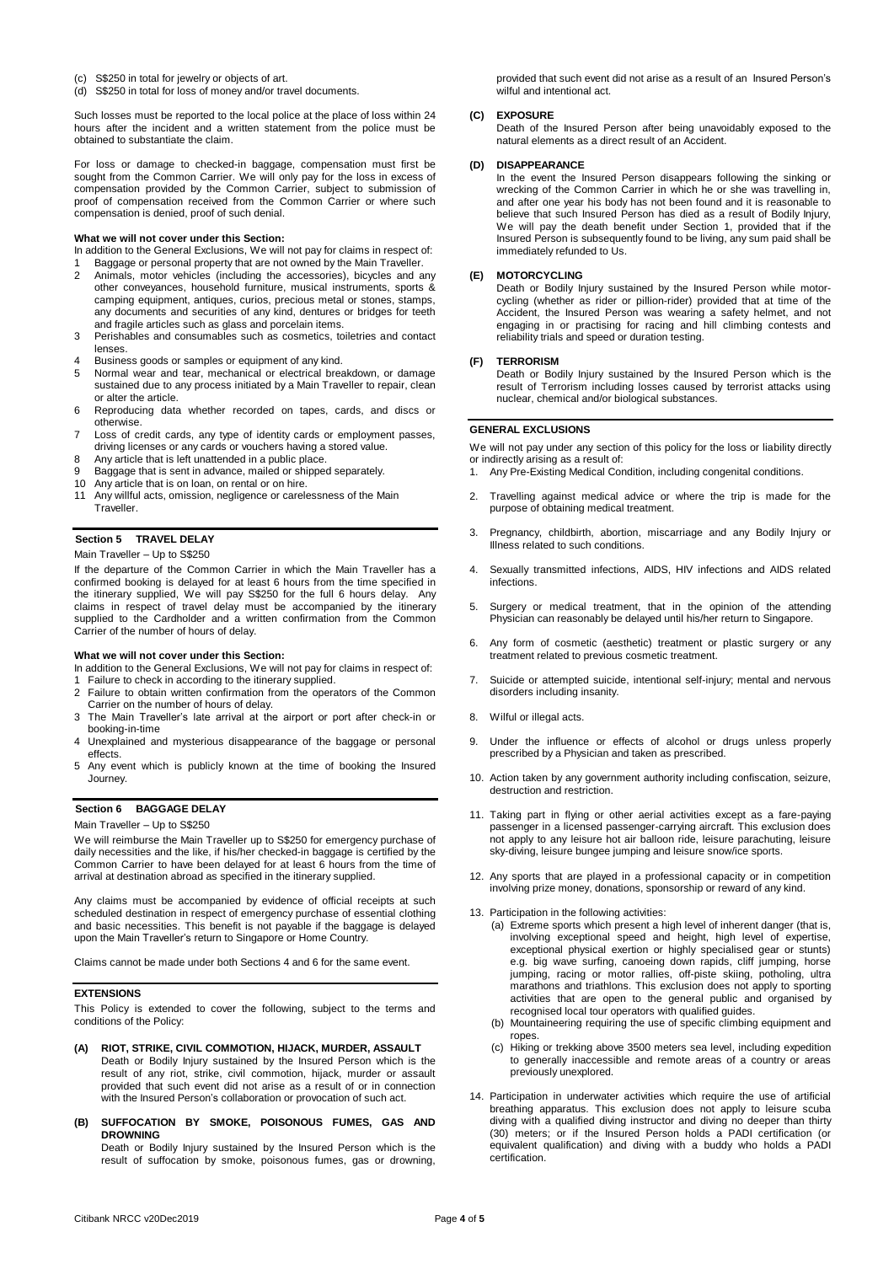- (c) S\$250 in total for jewelry or objects of art.
- (d) S\$250 in total for loss of money and/or travel documents.

Such losses must be reported to the local police at the place of loss within 24 hours after the incident and a written statement from the police must be obtained to substantiate the claim.

For loss or damage to checked-in baggage, compensation must first be sought from the Common Carrier. We will only pay for the loss in excess of compensation provided by the Common Carrier, subject to submission of proof of compensation received from the Common Carrier or where such compensation is denied, proof of such denial.

#### **What we will not cover under this Section:**

In addition to the General Exclusions, We will not pay for claims in respect of: Baggage or personal property that are not owned by the Main Traveller.

- 2 Animals, motor vehicles (including the accessories), bicycles and any other conveyances, household furniture, musical instruments, sports & camping equipment, antiques, curios, precious metal or stones, stamps, any documents and securities of any kind, dentures or bridges for teeth and fragile articles such as glass and porcelain items.
- 3 Perishables and consumables such as cosmetics, toiletries and contact lenses.
- Business goods or samples or equipment of any kind.
- 5 Normal wear and tear, mechanical or electrical breakdown, or damage sustained due to any process initiated by a Main Traveller to repair, clean or alter the article.
- 6 Reproducing data whether recorded on tapes, cards, and discs or otherwise.
- 7 Loss of credit cards, any type of identity cards or employment passes, driving licenses or any cards or vouchers having a stored value.
- Any article that is left unattended in a public place.
- Baggage that is sent in advance, mailed or shipped separately.
- 10 Any article that is on loan, on rental or on hire.
- 11 Any willful acts, omission, negligence or carelessness of the Main Traveller.

# **Section 5 TRAVEL DELAY**

Main Traveller – Up to S\$250

If the departure of the Common Carrier in which the Main Traveller has a confirmed booking is delayed for at least 6 hours from the time specified in the itinerary supplied, We will pay S\$250 for the full 6 hours delay. Any claims in respect of travel delay must be accompanied by the itinerary supplied to the Cardholder and a written confirmation from the Common Carrier of the number of hours of delay.

#### **What we will not cover under this Section:**

In addition to the General Exclusions, We will not pay for claims in respect of: 1 Failure to check in according to the itinerary supplied.

- 2 Failure to obtain written confirmation from the operators of the Common Carrier on the number of hours of delay.
- 3 The Main Traveller's late arrival at the airport or port after check-in or booking-in-time
- 4 Unexplained and mysterious disappearance of the baggage or personal effects.
- 5 Any event which is publicly known at the time of booking the Insured Journey.

# **Section 6 BAGGAGE DELAY**

Main Traveller – Up to S\$250

We will reimburse the Main Traveller up to S\$250 for emergency purchase of daily necessities and the like, if his/her checked-in baggage is certified by the Common Carrier to have been delayed for at least 6 hours from the time of arrival at destination abroad as specified in the itinerary supplied.

Any claims must be accompanied by evidence of official receipts at such scheduled destination in respect of emergency purchase of essential clothing and basic necessities. This benefit is not payable if the baggage is delayed upon the Main Traveller's return to Singapore or Home Country.

Claims cannot be made under both Sections 4 and 6 for the same event.

#### **EXTENSIONS**

This Policy is extended to cover the following, subject to the terms and conditions of the Policy:

#### **(A) RIOT, STRIKE, CIVIL COMMOTION, HIJACK, MURDER, ASSAULT**

- Death or Bodily Injury sustained by the Insured Person which is the result of any riot, strike, civil commotion, hijack, murder or assault provided that such event did not arise as a result of or in connection with the Insured Person's collaboration or provocation of such act.
- **(B) SUFFOCATION BY SMOKE, POISONOUS FUMES, GAS AND DROWNING**

Death or Bodily Injury sustained by the Insured Person which is the result of suffocation by smoke, poisonous fumes, gas or drowning,

provided that such event did not arise as a result of an Insured Person's wilful and intentional act.

# **(C) EXPOSURE**

Death of the Insured Person after being unavoidably exposed to the natural elements as a direct result of an Accident.

## **(D) DISAPPEARANCE**

In the event the Insured Person disappears following the sinking or wrecking of the Common Carrier in which he or she was travelling in, and after one year his body has not been found and it is reasonable to believe that such Insured Person has died as a result of Bodily Injury, We will pay the death benefit under Section 1, provided that if the Insured Person is subsequently found to be living, any sum paid shall be immediately refunded to Us.

### **(E) MOTORCYCLING**

Death or Bodily Injury sustained by the Insured Person while motorcycling (whether as rider or pillion-rider) provided that at time of the Accident, the Insured Person was wearing a safety helmet, and not engaging in or practising for racing and hill climbing contests and reliability trials and speed or duration testing.

#### **(F) TERRORISM**

Death or Bodily Injury sustained by the Insured Person which is the result of Terrorism including losses caused by terrorist attacks using nuclear, chemical and/or biological substances.

#### **GENERAL EXCLUSIONS**

We will not pay under any section of this policy for the loss or liability directly or indirectly arising as a result of:

- 1. Any Pre-Existing Medical Condition, including congenital conditions.
- Travelling against medical advice or where the trip is made for the purpose of obtaining medical treatment.
- 3. Pregnancy, childbirth, abortion, miscarriage and any Bodily Injury or Illness related to such conditions.
- 4. Sexually transmitted infections, AIDS, HIV infections and AIDS related infections.
- Surgery or medical treatment, that in the opinion of the attending Physician can reasonably be delayed until his/her return to Singapore.
- 6. Any form of cosmetic (aesthetic) treatment or plastic surgery or any treatment related to previous cosmetic treatment.
- 7. Suicide or attempted suicide, intentional self-injury; mental and nervous disorders including insanity.
- 8. Wilful or illegal acts.
- 9. Under the influence or effects of alcohol or drugs unless properly prescribed by a Physician and taken as prescribed.
- 10. Action taken by any government authority including confiscation, seizure, destruction and restriction.
- 11. Taking part in flying or other aerial activities except as a fare-paying passenger in a licensed passenger-carrying aircraft. This exclusion does not apply to any leisure hot air balloon ride, leisure parachuting, leisure sky-diving, leisure bungee jumping and leisure snow/ice sports.
- 12. Any sports that are played in a professional capacity or in competition involving prize money, donations, sponsorship or reward of any kind.

13. Participation in the following activities:

- (a) Extreme sports which present a high level of inherent danger (that is, involving exceptional speed and height, high level of expertise, exceptional physical exertion or highly specialised gear or stunts) e.g. big wave surfing, canoeing down rapids, cliff jumping, horse jumping, racing or motor rallies, off-piste skiing, potholing, ultra marathons and triathlons. This exclusion does not apply to sporting activities that are open to the general public and organised by recognised local tour operators with qualified guides.
- (b) Mountaineering requiring the use of specific climbing equipment and ropes.
- (c) Hiking or trekking above 3500 meters sea level, including expedition to generally inaccessible and remote areas of a country or areas previously unexplored.
- 14. Participation in underwater activities which require the use of artificial breathing apparatus. This exclusion does not apply to leisure scuba diving with a qualified diving instructor and diving no deeper than thirty (30) meters; or if the Insured Person holds a PADI certification (or equivalent qualification) and diving with a buddy who holds a PADI certification.